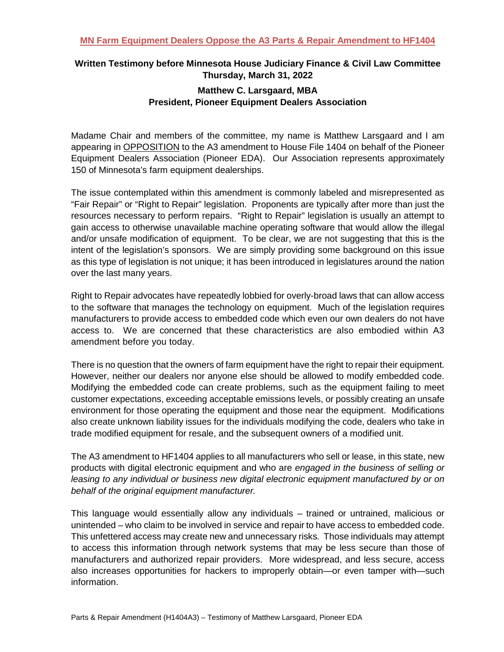## **Written Testimony before Minnesota House Judiciary Finance & Civil Law Committee Thursday, March 31, 2022**

## **Matthew C. Larsgaard, MBA President, Pioneer Equipment Dealers Association**

Madame Chair and members of the committee, my name is Matthew Larsgaard and I am appearing in OPPOSITION to the A3 amendment to House File 1404 on behalf of the Pioneer Equipment Dealers Association (Pioneer EDA). Our Association represents approximately 150 of Minnesota's farm equipment dealerships.

The issue contemplated within this amendment is commonly labeled and misrepresented as "Fair Repair" or "Right to Repair" legislation. Proponents are typically after more than just the resources necessary to perform repairs. "Right to Repair" legislation is usually an attempt to gain access to otherwise unavailable machine operating software that would allow the illegal and/or unsafe modification of equipment. To be clear, we are not suggesting that this is the intent of the legislation's sponsors. We are simply providing some background on this issue as this type of legislation is not unique; it has been introduced in legislatures around the nation over the last many years.

Right to Repair advocates have repeatedly lobbied for overly-broad laws that can allow access to the software that manages the technology on equipment. Much of the legislation requires manufacturers to provide access to embedded code which even our own dealers do not have access to. We are concerned that these characteristics are also embodied within A3 amendment before you today.

There is no question that the owners of farm equipment have the right to repair their equipment. However, neither our dealers nor anyone else should be allowed to modify embedded code. Modifying the embedded code can create problems, such as the equipment failing to meet customer expectations, exceeding acceptable emissions levels, or possibly creating an unsafe environment for those operating the equipment and those near the equipment. Modifications also create unknown liability issues for the individuals modifying the code, dealers who take in trade modified equipment for resale, and the subsequent owners of a modified unit.

The A3 amendment to HF1404 applies to all manufacturers who sell or lease, in this state, new products with digital electronic equipment and who are *engaged in the business of selling or leasing to any individual or business new digital electronic equipment manufactured by or on behalf of the original equipment manufacturer.* 

This language would essentially allow any individuals – trained or untrained, malicious or unintended – who claim to be involved in service and repair to have access to embedded code. This unfettered access may create new and unnecessary risks. Those individuals may attempt to access this information through network systems that may be less secure than those of manufacturers and authorized repair providers. More widespread, and less secure, access also increases opportunities for hackers to improperly obtain—or even tamper with—such information.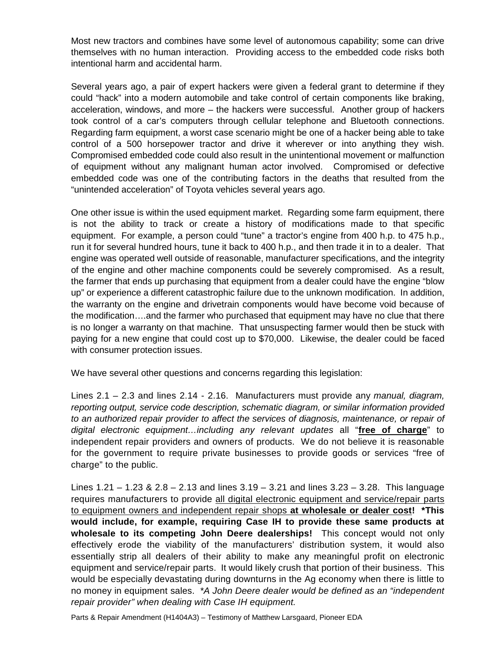Most new tractors and combines have some level of autonomous capability; some can drive themselves with no human interaction. Providing access to the embedded code risks both intentional harm and accidental harm.

Several years ago, a pair of expert hackers were given a federal grant to determine if they could "hack" into a modern automobile and take control of certain components like braking, acceleration, windows, and more – the hackers were successful. Another group of hackers took control of a car's computers through cellular telephone and Bluetooth connections. Regarding farm equipment, a worst case scenario might be one of a hacker being able to take control of a 500 horsepower tractor and drive it wherever or into anything they wish. Compromised embedded code could also result in the unintentional movement or malfunction of equipment without any malignant human actor involved. Compromised or defective embedded code was one of the contributing factors in the deaths that resulted from the "unintended acceleration" of Toyota vehicles several years ago.

One other issue is within the used equipment market. Regarding some farm equipment, there is not the ability to track or create a history of modifications made to that specific equipment. For example, a person could "tune" a tractor's engine from 400 h.p. to 475 h.p., run it for several hundred hours, tune it back to 400 h.p., and then trade it in to a dealer. That engine was operated well outside of reasonable, manufacturer specifications, and the integrity of the engine and other machine components could be severely compromised. As a result, the farmer that ends up purchasing that equipment from a dealer could have the engine "blow up" or experience a different catastrophic failure due to the unknown modification. In addition, the warranty on the engine and drivetrain components would have become void because of the modification….and the farmer who purchased that equipment may have no clue that there is no longer a warranty on that machine. That unsuspecting farmer would then be stuck with paying for a new engine that could cost up to \$70,000. Likewise, the dealer could be faced with consumer protection issues.

We have several other questions and concerns regarding this legislation:

Lines 2.1 – 2.3 and lines 2.14 - 2.16. Manufacturers must provide any *manual, diagram, reporting output, service code description, schematic diagram, or similar information provided to an authorized repair provider to affect the services of diagnosis, maintenance, or repair of digital electronic equipment…including any relevant updates* all "**free of charge**" to independent repair providers and owners of products. We do not believe it is reasonable for the government to require private businesses to provide goods or services "free of charge" to the public.

Lines 1.21 – 1.23 & 2.8 – 2.13 and lines 3.19 – 3.21 and lines 3.23 – 3.28. This language requires manufacturers to provide all digital electronic equipment and service/repair parts to equipment owners and independent repair shops **at wholesale or dealer cost! \*This would include, for example, requiring Case IH to provide these same products at wholesale to its competing John Deere dealerships!** This concept would not only effectively erode the viability of the manufacturers' distribution system, it would also essentially strip all dealers of their ability to make any meaningful profit on electronic equipment and service/repair parts. It would likely crush that portion of their business. This would be especially devastating during downturns in the Ag economy when there is little to no money in equipment sales. *\*A John Deere dealer would be defined as an "independent repair provider" when dealing with Case IH equipment.*

Parts & Repair Amendment (H1404A3) – Testimony of Matthew Larsgaard, Pioneer EDA